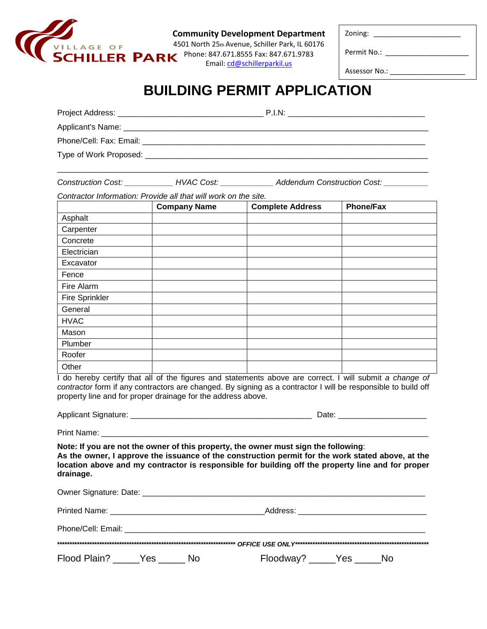

**Community Development Department**

4501 North 25th Avenue, Schiller Park, IL 60176 **ILLER PARK** Phone: 847.671.8555 Fax: 847.671.9783 Email: [cd@schillerparkil.us](mailto:cd@schillerparkil.us)

Zoning: \_\_\_\_\_\_\_\_\_\_\_\_\_\_\_\_\_\_\_\_\_\_

Permit No.: \_\_\_\_\_\_\_\_\_\_\_\_\_\_\_\_\_\_\_\_\_

Assessor No.: \_\_\_\_\_\_\_\_\_\_\_\_\_\_\_\_\_\_\_

## **BUILDING PERMIT APPLICATION**

| Project Address:          |                                                 | P.I.N: |
|---------------------------|-------------------------------------------------|--------|
|                           | Applicant's Name: _____________________________ |        |
| Phone/Cell: Fax: Email: _ |                                                 |        |
|                           |                                                 |        |

\_\_\_\_\_\_\_\_\_\_\_\_\_\_\_\_\_\_\_\_\_\_\_\_\_\_\_\_\_\_\_\_\_\_\_\_\_\_\_\_\_\_\_\_\_\_\_\_\_\_\_\_\_\_\_\_\_\_\_\_\_\_\_\_\_\_\_\_\_\_\_\_\_\_\_\_\_\_\_\_\_\_\_\_

*Construction Cost: \_\_\_\_\_\_\_\_\_\_\_ HVAC Cost: \_\_\_\_\_\_\_\_\_\_\_\_ Addendum Construction Cost: \_\_\_\_\_\_\_\_\_\_*

*Contractor Information: Provide all that will work on the site.*

|                | <b>Company Name</b> | <b>Complete Address</b> | <b>Phone/Fax</b> |
|----------------|---------------------|-------------------------|------------------|
| Asphalt        |                     |                         |                  |
| Carpenter      |                     |                         |                  |
| Concrete       |                     |                         |                  |
| Electrician    |                     |                         |                  |
| Excavator      |                     |                         |                  |
| Fence          |                     |                         |                  |
| Fire Alarm     |                     |                         |                  |
| Fire Sprinkler |                     |                         |                  |
| General        |                     |                         |                  |
| <b>HVAC</b>    |                     |                         |                  |
| Mason          |                     |                         |                  |
| Plumber        |                     |                         |                  |
| Roofer         |                     |                         |                  |
| Other          |                     |                         |                  |

I do hereby certify that all of the figures and statements above are correct. I will submit *a change of contractor* form if any contractors are changed. By signing as a contractor I will be responsible to build off property line and for proper drainage for the address above.

Applicant Signature: \_\_\_\_\_\_\_\_\_\_\_\_\_\_\_\_\_\_\_\_\_\_\_\_\_\_\_\_\_\_\_\_\_\_\_\_\_\_\_\_\_ Date: \_\_\_\_\_\_\_\_\_\_\_\_\_\_\_\_\_\_\_\_

Print Name: \_\_\_\_\_\_\_\_\_\_\_\_\_\_\_\_\_\_\_\_\_\_\_\_\_\_\_\_\_\_\_\_\_\_\_\_\_\_\_\_\_\_\_\_\_\_\_\_\_\_\_\_\_\_\_\_\_\_\_\_\_\_\_\_\_\_\_\_\_\_\_\_\_\_

**Note: If you are not the owner of this property, the owner must sign the following**: **As the owner, I approve the issuance of the construction permit for the work stated above, at the location above and my contractor is responsible for building off the property line and for proper drainage.** 

|                                                                                                                                                                                                                                |           | Address: _________________________________ |    |  |
|--------------------------------------------------------------------------------------------------------------------------------------------------------------------------------------------------------------------------------|-----------|--------------------------------------------|----|--|
| Phone/Cell: Email: The contract of the contract of the contract of the contract of the contract of the contract of the contract of the contract of the contract of the contract of the contract of the contract of the contrac |           |                                            |    |  |
|                                                                                                                                                                                                                                |           |                                            |    |  |
| Flood Plain? Yes                                                                                                                                                                                                               | <b>NO</b> | Floodway? _____Yes ___                     | No |  |